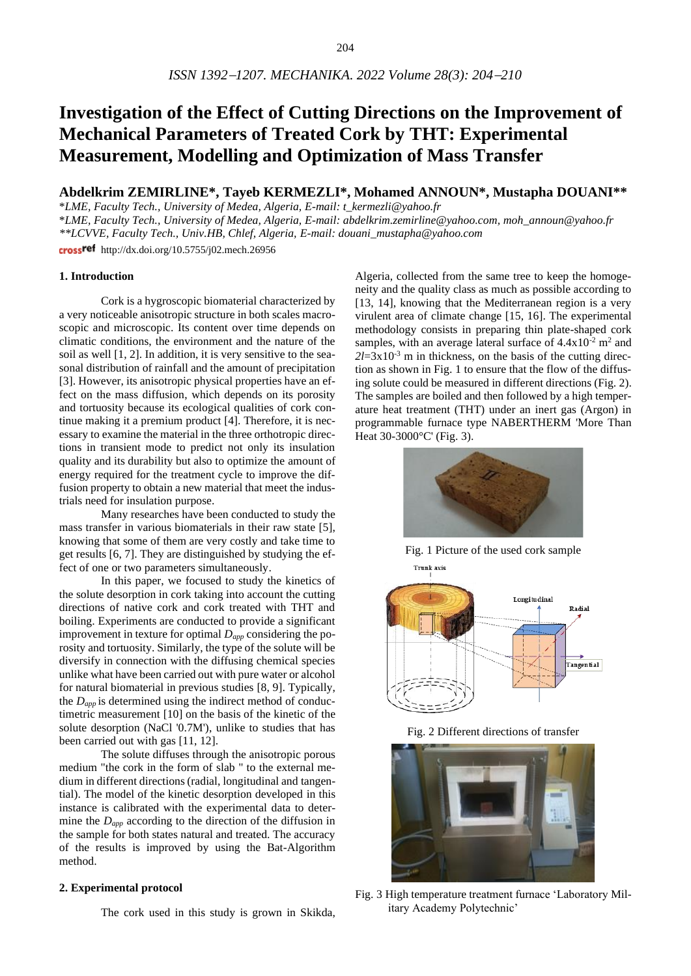# **Investigation of the Effect of Cutting Directions on the Improvement of Mechanical Parameters of Treated Cork by THT: Experimental Measurement, Modelling and Optimization of Mass Transfer**

# **Abdelkrim ZEMIRLINE\*, Tayeb KERMEZLI\*, Mohamed ANNOUN\*, Mustapha DOUANI\*\***

\**LME, Faculty Tech., University of Medea, Algeria, E-mail: [t\\_kermezli@yahoo.fr](mailto:t_kermezli@yahoo.fr)*

\**LME, Faculty Tech., University of Medea, Algeria, E-mail[: abdelkrim.zemirline@yahoo.com,](mailto:abdelkrim.zemirline@yahoo.com) [moh\\_announ@yahoo.fr](mailto:moh_announ@yahoo.fr) \*\*LCVVE, Faculty Tech., Univ.HB, Chlef, Algeria, E-mail: [douani\\_mustapha@yahoo.com](mailto:douani_mustapha@yahoo.com)*

cross<sup>ref</sup> http://dx.doi.org/10.5755/j02.mech.26956

### **1. Introduction**

Cork is a hygroscopic biomaterial characterized by a very noticeable anisotropic structure in both scales macroscopic and microscopic. Its content over time depends on climatic conditions, the environment and the nature of the soil as well [1, 2]. In addition, it is very sensitive to the seasonal distribution of rainfall and the amount of precipitation [3]. However, its anisotropic physical properties have an effect on the mass diffusion, which depends on its porosity and tortuosity because its ecological qualities of cork continue making it a premium product [4]. Therefore, it is necessary to examine the material in the three orthotropic directions in transient mode to predict not only its insulation quality and its durability but also to optimize the amount of energy required for the treatment cycle to improve the diffusion property to obtain a new material that meet the industrials need for insulation purpose.

Many researches have been conducted to study the mass transfer in various biomaterials in their raw state [5], knowing that some of them are very costly and take time to get results [6, 7]. They are distinguished by studying the effect of one or two parameters simultaneously.

In this paper, we focused to study the kinetics of the solute desorption in cork taking into account the cutting directions of native cork and cork treated with THT and boiling. Experiments are conducted to provide a significant improvement in texture for optimal *Dapp* considering the porosity and tortuosity. Similarly, the type of the solute will be diversify in connection with the diffusing chemical species unlike what have been carried out with pure water or alcohol for natural biomaterial in previous studies [8, 9]. Typically, the *Dapp* is determined using the indirect method of conductimetric measurement [10] on the basis of the kinetic of the solute desorption (NaCl '0.7M'), unlike to studies that has been carried out with gas [11, 12].

The solute diffuses through the anisotropic porous medium "the cork in the form of slab " to the external medium in different directions (radial, longitudinal and tangential). The model of the kinetic desorption developed in this instance is calibrated with the experimental data to determine the *Dapp* according to the direction of the diffusion in the sample for both states natural and treated. The accuracy of the results is improved by using the Bat-Algorithm method.

## **2. Experimental protocol**

The cork used in this study is grown in Skikda,

Algeria, collected from the same tree to keep the homogeneity and the quality class as much as possible according to [13, 14], knowing that the Mediterranean region is a very virulent area of climate change [15, 16]. The experimental methodology consists in preparing thin plate-shaped cork samples, with an average lateral surface of  $4.4x10^{-2}$  m<sup>2</sup> and  $2l=3x10^{-3}$  m in thickness, on the basis of the cutting direction as shown in Fig. 1 to ensure that the flow of the diffusing solute could be measured in different directions (Fig. 2). The samples are boiled and then followed by a high temperature heat treatment (THT) under an inert gas (Argon) in programmable furnace type NABERTHERM 'More Than Heat 30-3000°C' (Fig. 3).



Fig. 1 Picture of the used cork sample Trunk axis



Fig. 2 Different directions of transfer



Fig. 3 High temperature treatment furnace 'Laboratory Military Academy Polytechnic'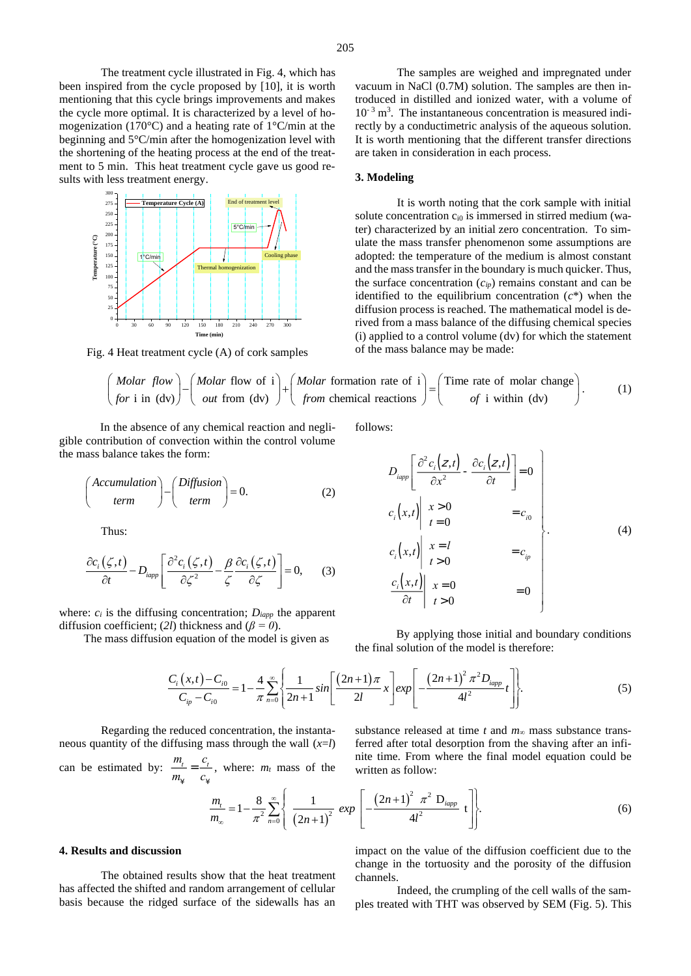The treatment cycle illustrated in Fig. 4, which has been inspired from the cycle proposed by [10], it is worth mentioning that this cycle brings improvements and makes the cycle more optimal. It is characterized by a level of homogenization (170°C) and a heating rate of 1°C/min at the beginning and 5°C/min after the homogenization level with the shortening of the heating process at the end of the treatment to 5 min. This heat treatment cycle gave us good results with less treatment energy.



Fig. 4 Heat treatment cycle (A) of cork samples

The samples are weighed and impregnated under vacuum in NaCl (0.7M) solution. The samples are then introduced in distilled and ionized water, with a volume of  $10^{-3}$  m<sup>3</sup>. The instantaneous concentration is measured indirectly by a conductimetric analysis of the aqueous solution. It is worth mentioning that the different transfer directions are taken in consideration in each process.

#### **3. Modeling**

It is worth noting that the cork sample with initial solute concentration  $c_{i0}$  is immersed in stirred medium (water) characterized by an initial zero concentration. To simulate the mass transfer phenomenon some assumptions are adopted: the temperature of the medium is almost constant and the mass transfer in the boundary is much quicker. Thus, the surface concentration  $(c_{ip})$  remains constant and can be identified to the equilibrium concentration (*c*\*) when the diffusion process is reached. The mathematical model is derived from a mass balance of the diffusing chemical species (i) applied to a control volume (dv) for which the statement of the mass balance may be made:

$$
4 Heat treatment cycle (A) of cork samples (i) applied to a control volume (dv) for which the statement of the mass balance may be made:\n
$$
\left(\begin{array}{c}\nMolar flow \\
for i in (dv)\n\end{array}\right) - \left(\begin{array}{c}\nMolar flow of i \\
out from (dv)\n\end{array}\right) + \left(\begin{array}{c}\nMolar formation rate of i \\
from chemical reactions\n\end{array}\right) = \left(\begin{array}{c}\nTime rate of molar change \\
of i \text{ within (dv)}\n\end{array}\right).
$$
\n(1)
$$

In the absence of any chemical reaction and negligible contribution of convection within the control volume the mass balance takes the form:

$$
\left(\begin{array}{c}\nAccumulation \\
term\n\end{array}\right) - \left(\begin{array}{c}\nDiffusion \\
term\n\end{array}\right) = 0.
$$
\n(2)

Thus:

$$
\frac{\partial c_i(\zeta,t)}{\partial t} - D_{\text{iapp}} \left[ \frac{\partial^2 c_i(\zeta,t)}{\partial \zeta^2} - \frac{\beta}{\zeta} \frac{\partial c_i(\zeta,t)}{\partial \zeta} \right] = 0, \quad (3)
$$

where:  $c_i$  is the diffusing concentration;  $D_{iapp}$  the apparent diffusion coefficient; (*2l*) thickness and (*β = 0*).

The mass diffusion equation of the model is given as

icl in a relation of a function of a function of a function.

\n
$$
D_{\text{temp}} \left[ \frac{\partial^2 c_i(z, t)}{\partial x^2} - \frac{\partial c_i(z, t)}{\partial t} \right] = 0
$$
\n
$$
c_i(x, t) \left| \begin{array}{cc} x > 0 \\ t &= 0 \end{array} \right| = c_{i0}
$$
\n(4)

$$
c_i(x,t) \begin{vmatrix} x = l \\ t > 0 \end{vmatrix} = c_{ip}
$$
  

$$
\frac{c_i(x,t)}{\partial t} \begin{vmatrix} x = 0 \\ t > 0 \end{vmatrix} = 0
$$

By applying those initial and boundary conditions the final solution of the model is therefore:

the final solution of the model is therefore:  
\n
$$
\frac{C_i(x,t) - C_{i0}}{C_{ip} - C_{i0}} = 1 - \frac{4}{\pi} \sum_{n=0}^{\infty} \left\{ \frac{1}{2n+1} \sin \left[ \frac{(2n+1)\pi}{2l} x \right] \exp \left[ -\frac{(2n+1)^2 \pi^2 D_{lapp}}{4l^2} t \right] \right\}.
$$
\n(5)

Regarding the reduced concentration, the instantaneous quantity of the diffusing mass through the wall (*x*=*l*) can be estimated by:  $\frac{m_l}{l}$  $m_{\overline{Y}}$  $=\frac{c_i}{\sqrt{c_i}}$  $\frac{c_t}{c_{\dot{x}}}$ , where: *m<sub>t</sub>* mass of the substance released at time *t* and *m<sup>∞</sup>* mass substance transferred after total desorption from the shaving after an infinite time. From where the final model equation could be written as follow:

$$
\frac{m_t}{m_{\infty}} = 1 - \frac{8}{\pi^2} \sum_{n=0}^{\infty} \left\{ \frac{1}{(2n+1)^2} \exp\left[ -\frac{(2n+1)^2 \pi^2 D_{\text{iapp}}}{4l^2} t \right] \right\}.
$$
 (6)

#### **4. Results and discussion**

The obtained results show that the heat treatment has affected the shifted and random arrangement of cellular basis because the ridged surface of the sidewalls has an impact on the value of the diffusion coefficient due to the change in the tortuosity and the porosity of the diffusion channels.

Indeed, the crumpling of the cell walls of the samples treated with THT was observed by SEM (Fig. 5). This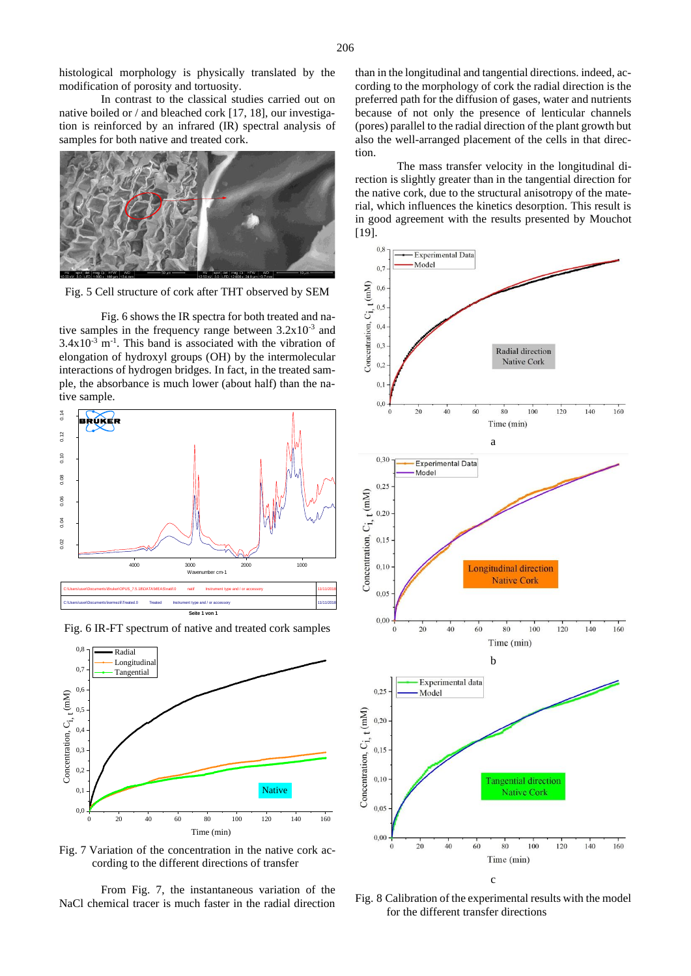histological morphology is physically translated by the modification of porosity and tortuosity.

In contrast to the classical studies carried out on native boiled or / and bleached cork [17, 18], our investigation is reinforced by an infrared (IR) spectral analysis of samples for both native and treated cork.



Fig. 5 Cell structure of cork after THT observed by SEM

Fig. 6 shows the IR spectra for both treated and native samples in the frequency range between  $3.2 \times 10^{-3}$  and  $3.4x10^{-3}$  m<sup>-1</sup>. This band is associated with the vibration of elongation of hydroxyl groups (OH) by the intermolecular interactions of hydrogen bridges. In fact, in the treated sample, the absorbance is much lower (about half) than the native sample.



Fig. 6 IR-FT spectrum of native and treated cork samples



Fig. 7 Variation of the concentration in the native cork according to the different directions of transfer

From Fig. 7, the instantaneous variation of the NaCl chemical tracer is much faster in the radial direction than in the longitudinal and tangential directions. indeed, according to the morphology of cork the radial direction is the preferred path for the diffusion of gases, water and nutrients because of not only the presence of lenticular channels (pores) parallel to the radial direction of the plant growth but also the well-arranged placement of the cells in that direction.

The mass transfer velocity in the longitudinal direction is slightly greater than in the tangential direction for the native cork, due to the structural anisotropy of the material, which influences the kinetics desorption. This result is in good agreement with the results presented by Mouchot [19].



Fig. 8 Calibration of the experimental results with the model for the different transfer directions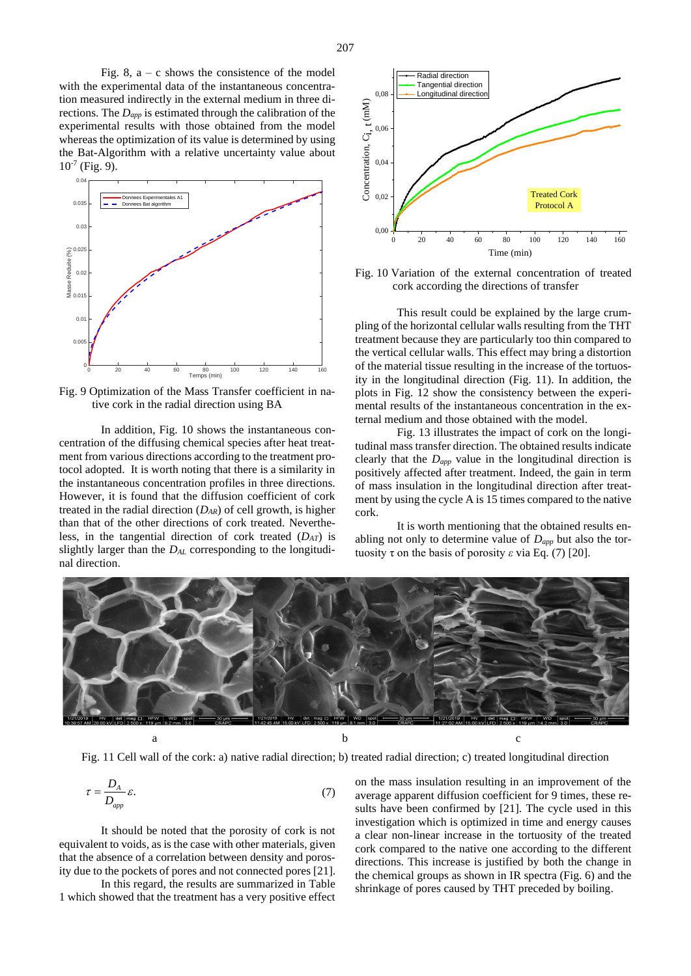Fig. 8,  $a - c$  shows the consistence of the model with the experimental data of the instantaneous concentration measured indirectly in the external medium in three directions. The *Dapp* is estimated through the calibration of the experimental results with those obtained from the model whereas the optimization of its value is determined by using the Bat-Algorithm with a relative uncertainty value about  $10^{-7}$  (Fig. 9).



Fig. 9 Optimization of the Mass Transfer coefficient in native cork in the radial direction using BA

In addition, Fig. 10 shows the instantaneous concentration of the diffusing chemical species after heat treatment from various directions according to the treatment protocol adopted. It is worth noting that there is a similarity in the instantaneous concentration profiles in three directions. However, it is found that the diffusion coefficient of cork treated in the radial direction (*DAR*) of cell growth, is higher than that of the other directions of cork treated. Nevertheless, in the tangential direction of cork treated (*DAT*) is slightly larger than the *DAL* corresponding to the longitudinal direction.



Fig. 10 Variation of the external concentration of treated cork according the directions of transfer

This result could be explained by the large crumpling of the horizontal cellular walls resulting from the THT treatment because they are particularly too thin compared to the vertical cellular walls. This effect may bring a distortion of the material tissue resulting in the increase of the tortuosity in the longitudinal direction (Fig. 11). In addition, the plots in Fig. 12 show the consistency between the experimental results of the instantaneous concentration in the external medium and those obtained with the model.

Fig. 13 illustrates the impact of cork on the longitudinal mass transfer direction. The obtained results indicate clearly that the *Dapp* value in the longitudinal direction is positively affected after treatment. Indeed, the gain in term of mass insulation in the longitudinal direction after treatment by using the cycle A is 15 times compared to the native cork.

It is worth mentioning that the obtained results enabling not only to determine value of *Dapp* but also the tortuosity τ on the basis of porosity *ε* via Eq. (7) [20].



Fig. 11 Cell wall of the cork: a) native radial direction; b) treated radial direction; c) treated longitudinal direction

$$
\tau = \frac{D_A}{D_{app}} \varepsilon. \tag{7}
$$

It should be noted that the porosity of cork is not equivalent to voids, as is the case with other materials, given that the absence of a correlation between density and porosity due to the pockets of pores and not connected pores [21].

In this regard, the results are summarized in Table 1 which showed that the treatment has a very positive effect on the mass insulation resulting in an improvement of the average apparent diffusion coefficient for 9 times, these results have been confirmed by [21]. The cycle used in this investigation which is optimized in time and energy causes a clear non-linear increase in the tortuosity of the treated cork compared to the native one according to the different directions. This increase is justified by both the change in the chemical groups as shown in IR spectra (Fig. 6) and the shrinkage of pores caused by THT preceded by boiling.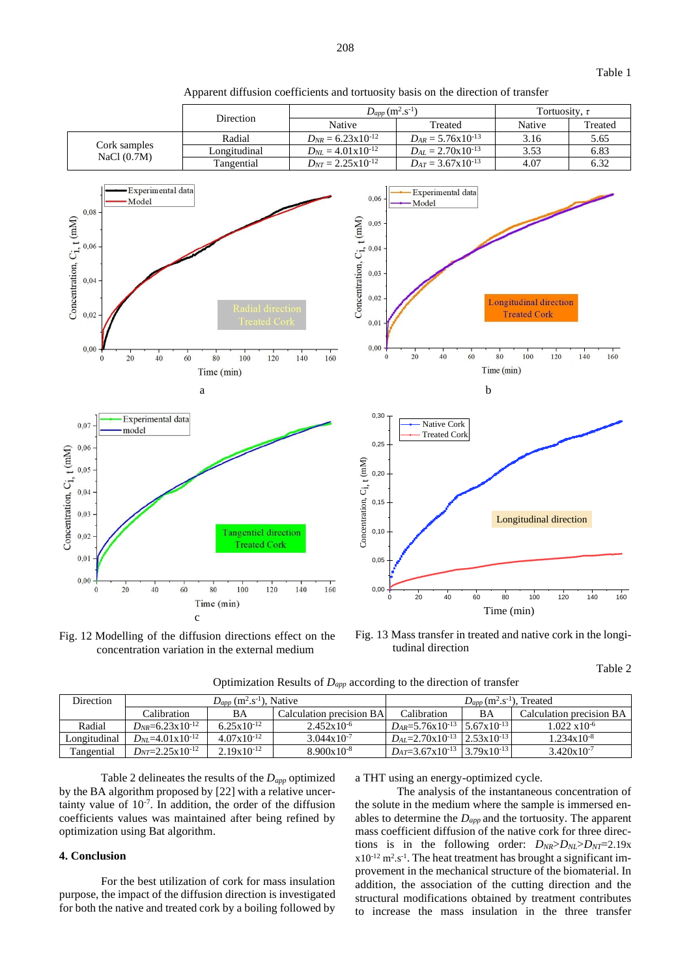

Apparent diffusion coefficients and tortuosity basis on the direction of transfer

Fig. 12 Modelling of the diffusion directions effect on the concentration variation in the external medium

Fig. 13 Mass transfer in treated and native cork in the longitudinal direction

Optimization Results of *Dapp* according to the direction of transfer

| <b>Direction</b> | $D_{app}$ (m <sup>2</sup> .s <sup>-1</sup> ), Native |                        |                          | $D_{app}$ (m <sup>2</sup> .s <sup>-1</sup> ), Treated    |    |                          |
|------------------|------------------------------------------------------|------------------------|--------------------------|----------------------------------------------------------|----|--------------------------|
|                  | Calibration                                          | BA                     | Calculation precision BA | Calibration                                              | BA | Calculation precision BA |
| Radial           | $D_{NR} = 6.23 \times 10^{-12}$                      | $6.25 \times 10^{-12}$ | $2.452x10^{-6}$          | $D_{AR} = 5.76 \times 10^{-13}$ 5.67x10 <sup>-13</sup>   |    | $1.022 \times 10^{-6}$   |
| Longitudinal     | $D_{NL}=4.01\times10^{-12}$                          | $4.07 \times 10^{-12}$ | $3.044 \times 10^{-7}$   | $D_{4I} = 2.70 \times 10^{-13}$   $2.53 \times 10^{-13}$ |    | $1.234 \times 10^{-8}$   |
| Tangential       | $D_{NT} = 2.25 \times 10^{-12}$                      | $2.19x10^{-12}$        | $8.900x10^{-8}$          | $D_{AT} = 3.67 \times 10^{-13}$ 3.79x10 <sup>-13</sup>   |    | $3.420x10^{-7}$          |

Table 2 delineates the results of the *Dapp* optimized by the BA algorithm proposed by [22] with a relative uncertainty value of  $10^{-7}$ . In addition, the order of the diffusion coefficients values was maintained after being refined by optimization using Bat algorithm.

# **4. Conclusion**

For the best utilization of cork for mass insulation purpose, the impact of the diffusion direction is investigated for both the native and treated cork by a boiling followed by

a THT using an energy-optimized cycle.

The analysis of the instantaneous concentration of the solute in the medium where the sample is immersed enables to determine the *Dapp* and the tortuosity. The apparent mass coefficient diffusion of the native cork for three directions is in the following order:  $D_{NR} > D_{NL} > D_{NT} = 2.19x$  $x10^{-12}$  m<sup>2</sup>.s<sup>-1</sup>. The heat treatment has brought a significant improvement in the mechanical structure of the biomaterial. In addition, the association of the cutting direction and the structural modifications obtained by treatment contributes to increase the mass insulation in the three transfer

Table 2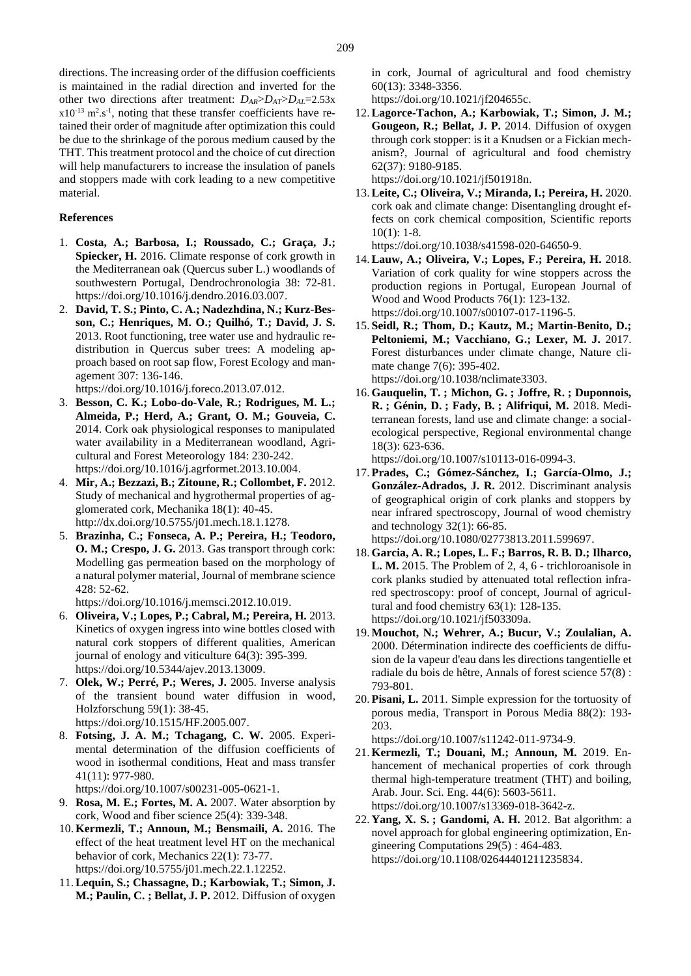directions. The increasing order of the diffusion coefficients is maintained in the radial direction and inverted for the other two directions after treatment: *DAR*>*DAT*>*DAL*=2.53x  $x10^{-13}$  m<sup>2</sup>.s<sup>-1</sup>, noting that these transfer coefficients have retained their order of magnitude after optimization this could be due to the shrinkage of the porous medium caused by the THT. This treatment protocol and the choice of cut direction will help manufacturers to increase the insulation of panels and stoppers made with cork leading to a new competitive material.

#### **References**

- 1. **Costa, A.; Barbosa, I.; Roussado, C.; Graça, J.; Spiecker, H.** 2016. Climate response of cork growth in the Mediterranean oak (Quercus suber L.) woodlands of southwestern Portugal, Dendrochronologia 38: 72-81. https://doi.org/10.1016/j.dendro.2016.03.007.
- 2. **David, T. S.; Pinto, C. A.; Nadezhdina, N.; Kurz-Besson, C.; Henriques, M. O.; Quilhó, T.; David, J. S.** 2013. Root functioning, tree water use and hydraulic redistribution in Quercus suber trees: A modeling approach based on root sap flow, Forest Ecology and management 307: 136-146.

https://doi.org/10.1016/j.foreco.2013.07.012.

- 3. **Besson, C. K.; Lobo-do-Vale, R.; Rodrigues, M. L.; Almeida, P.; Herd, A.; Grant, O. M.; Gouveia, C.** 2014. Cork oak physiological responses to manipulated water availability in a Mediterranean woodland, Agricultural and Forest Meteorology 184: 230-242. https://doi.org/10.1016/j.agrformet.2013.10.004.
- 4. **Mir, A.; Bezzazi, B.; Zitoune, R.; Collombet, F.** 2012. Study of mechanical and hygrothermal properties of agglomerated cork, Mechanika 18(1): 40-45. http://dx.doi.org/10.5755/j01.mech.18.1.1278.
- 5. **Brazinha, C.; Fonseca, A. P.; Pereira, H.; Teodoro, O. M.; Crespo, J. G.** 2013. Gas transport through cork: Modelling gas permeation based on the morphology of a natural polymer material, Journal of membrane science 428: 52-62.

https://doi.org/10.1016/j.memsci.2012.10.019.

- 6. **Oliveira, V.; Lopes, P.; Cabral, M.; Pereira, H.** 2013. Kinetics of oxygen ingress into wine bottles closed with natural cork stoppers of different qualities, American journal of enology and viticulture 64(3): 395-399. https://doi.org/10.5344/ajev.2013.13009.
- 7. **Olek, W.; Perré, P.; Weres, J.** 2005. Inverse analysis of the transient bound water diffusion in wood, Holzforschung 59(1): 38-45. https://doi.org/10.1515/HF.2005.007.
- 8. **Fotsing, J. A. M.; Tchagang, C. W.** 2005. Experimental determination of the diffusion coefficients of wood in isothermal conditions, Heat and mass transfer 41(11): 977-980.

https://doi.org/10.1007/s00231-005-0621-1.

- 9. **Rosa, M. E.; Fortes, M. A.** 2007. Water absorption by cork, Wood and fiber science 25(4): 339-348.
- 10. **Kermezli, T.; Announ, M.; Bensmaili, A.** 2016. The effect of the heat treatment level HT on the mechanical behavior of cork, Mechanics 22(1): 73-77. https://doi.org/10.5755/j01.mech.22.1.12252.
- 11.**Lequin, S.; Chassagne, D.; Karbowiak, T.; Simon, J. M.; Paulin, C. ; Bellat, J. P.** 2012. Diffusion of oxygen

in cork, Journal of agricultural and food chemistry 60(13): 3348-3356.

https://doi.org/10.1021/jf204655c.

- 12.**Lagorce-Tachon, A.; Karbowiak, T.; Simon, J. M.; Gougeon, R.; Bellat, J. P.** 2014. Diffusion of oxygen through cork stopper: is it a Knudsen or a Fickian mechanism?, Journal of agricultural and food chemistry 62(37): 9180-9185. https://doi.org/10.1021/jf501918n.
- 13.**Leite, C.; Oliveira, V.; Miranda, I.; Pereira, H.** 2020. cork oak and climate change: Disentangling drought effects on cork chemical composition, Scientific reports  $10(1)$ : 1-8.

https://doi.org/10.1038/s41598-020-64650-9.

- 14.**Lauw, A.; Oliveira, V.; Lopes, F.; Pereira, H.** 2018. Variation of cork quality for wine stoppers across the production regions in Portugal, European Journal of Wood and Wood Products 76(1): 123-132. https://doi.org/10.1007/s00107-017-1196-5.
- 15. **Seidl, R.; Thom, D.; Kautz, M.; Martin-Benito, D.; Peltoniemi, M.; Vacchiano, G.; Lexer, M. J.** 2017. Forest disturbances under climate change, Nature climate change 7(6): 395-402. https://doi.org/10.1038/nclimate3303.
- 16. **Gauquelin, T. ; Michon, G. ; Joffre, R. ; Duponnois, R. ; Génin, D. ; Fady, B. ; Alifriqui, M.** 2018. Mediterranean forests, land use and climate change: a socialecological perspective, Regional environmental change 18(3): 623-636.

https://doi.org/10.1007/s10113-016-0994-3.

17. **Prades, C.; Gómez-Sánchez, I.; García-Olmo, J.; González-Adrados, J. R.** 2012. Discriminant analysis of geographical origin of cork planks and stoppers by near infrared spectroscopy, Journal of wood chemistry and technology 32(1): 66-85.

https://doi.org/10.1080/02773813.2011.599697.

- 18. **Garcia, A. R.; Lopes, L. F.; Barros, R. B. D.; Ilharco, L. M.** 2015. The Problem of 2, 4, 6 - trichloroanisole in cork planks studied by attenuated total reflection infrared spectroscopy: proof of concept, Journal of agricultural and food chemistry 63(1): 128-135. https://doi.org/10.1021/jf503309a.
- 19. **Mouchot, N.; Wehrer, A.; Bucur, V.; Zoulalian, A.** 2000. Détermination indirecte des coefficients de diffusion de la vapeur d'eau dans les directions tangentielle et radiale du bois de hêtre, Annals of forest science 57(8) : 793-801.
- 20. **Pisani, L.** 2011. Simple expression for the tortuosity of porous media, Transport in Porous Media 88(2): 193- 203.

https://doi.org/10.1007/s11242-011-9734-9.

- 21. **Kermezli, T.; Douani, M.; Announ, M.** 2019. Enhancement of mechanical properties of cork through thermal high-temperature treatment (THT) and boiling, Arab. Jour. Sci. Eng. 44(6): 5603-5611. https://doi.org/10.1007/s13369-018-3642-z.
- 22. **Yang, X. S. ; Gandomi, A. H.** 2012. Bat algorithm: a novel approach for global engineering optimization, Engineering Computations 29(5) : 464**-**483. https://doi.org/10.1108/02644401211235834.